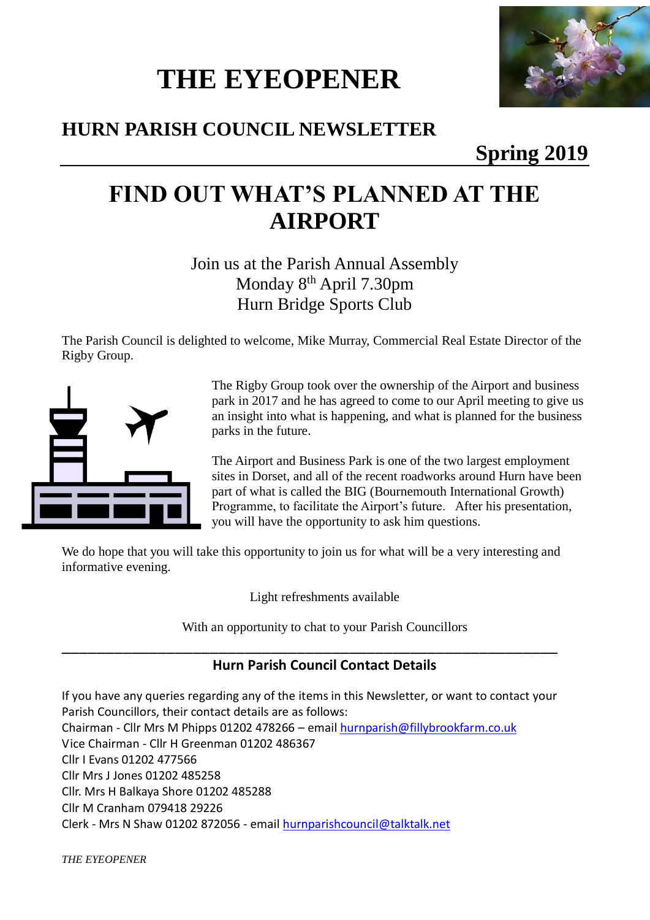# **THE EYEOPENER**



### **HURN PARISH COUNCIL NEWSLETTER**

### **Spring 2019**

## **FIND OUT WHAT'S PLANNED AT THE AIRPORT**

Join us at the Parish Annual Assembly Monday 8th April 7.30pm Hurn Bridge Sports Club

The Parish Council is delighted to welcome, Mike Murray, Commercial Real Estate Director of the Rigby Group.



The Rigby Group took over the ownership of the Airport and business park in 2017 and he has agreed to come to our April meeting to give us an insight into what is happening, and what is planned for the business parks in the future.

The Airport and Business Park is one of the two largest employment sites in Dorset, and all of the recent roadworks around Hurn have been part of what is called the BIG (Bournemouth International Growth) Programme, to facilitate the Airport's future. After his presentation, you will have the opportunity to ask him questions.

We do hope that you will take this opportunity to join us for what will be a very interesting and informative evening.

Light refreshments available

With an opportunity to chat to your Parish Councillors

\_\_\_\_\_\_\_\_\_\_\_\_\_\_\_\_\_\_\_\_\_\_\_\_\_\_\_\_\_\_\_\_\_\_\_\_\_\_\_\_\_\_\_\_\_\_\_\_\_\_\_\_\_\_\_\_\_

#### **Hurn Parish Council Contact Details**

If you have any queries regarding any of the items in this Newsletter, or want to contact your Parish Councillors, their contact details are as follows: Chairman - Cllr Mrs M Phipps 01202 478266 – emai[l hurnparish@fillybrookfarm.co.uk](mailto:hurnparish@fillybrookfarm.co.uk) Vice Chairman - Cllr H Greenman 01202 486367 Cllr I Evans 01202 477566 Cllr Mrs J Jones 01202 485258 Cllr. Mrs H Balkaya Shore 01202 485288 Cllr M Cranham 079418 29226 Clerk - Mrs N Shaw 01202 872056 - email [hurnparishcouncil@talktalk.net](mailto:hurnparishcouncil@talktalk.net)